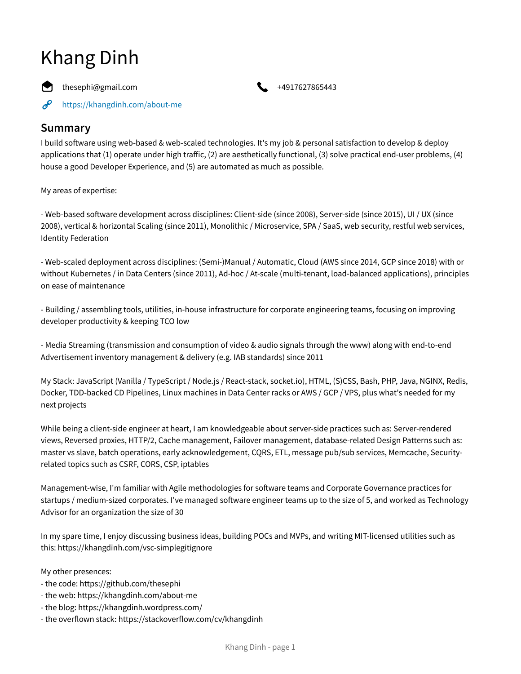# Khang Dinh

 $\bullet$  thesephi@gmail.com  $\bullet$  +4917627865443



 $\mathscr{E}$ <https://khangdinh.com/about-me>

## **Summary**

I build software using web-based & web-scaled technologies. It's my job & personal satisfaction to develop & deploy applications that (1) operate under high traffic, (2) are aesthetically functional, (3) solve practical end-user problems, (4) house a good Developer Experience, and (5) are automated as much as possible.

My areas of expertise:

- Web-based software development across disciplines: Client-side (since 2008), Server-side (since 2015), UI / UX (since 2008), vertical & horizontal Scaling (since 2011), Monolithic / Microservice, SPA / SaaS, web security, restful web services, Identity Federation

- Web-scaled deployment across disciplines: (Semi-)Manual / Automatic, Cloud (AWS since 2014, GCP since 2018) with or without Kubernetes / in Data Centers (since 2011), Ad-hoc / At-scale (multi-tenant, load-balanced applications), principles on ease of maintenance

- Building / assembling tools, utilities, in-house infrastructure for corporate engineering teams, focusing on improving developer productivity & keeping TCO low

- Media Streaming (transmission and consumption of video & audio signals through the www) along with end-to-end Advertisement inventory management & delivery (e.g. IAB standards) since 2011

My Stack: JavaScript (Vanilla / TypeScript / Node.js / React-stack, socket.io), HTML, (S)CSS, Bash, PHP, Java, NGINX, Redis, Docker, TDD-backed CD Pipelines, Linux machines in Data Center racks or AWS / GCP / VPS, plus what's needed for my next projects

While being a client-side engineer at heart, I am knowledgeable about server-side practices such as: Server-rendered views, Reversed proxies, HTTP/2, Cache management, Failover management, database-related Design Patterns such as: master vs slave, batch operations, early acknowledgement, CQRS, ETL, message pub/sub services, Memcache, Securityrelated topics such as CSRF, CORS, CSP, iptables

Management-wise, I'm familiar with Agile methodologies for software teams and Corporate Governance practices for startups / medium-sized corporates. I've managed software engineer teams up to the size of 5, and worked as Technology Advisor for an organization the size of 30

In my spare time, I enjoy discussing business ideas, building POCs and MVPs, and writing MIT-licensed utilities such as this: https://khangdinh.com/vsc-simplegitignore

My other presences:

- the code: https://github.com/thesephi
- the web: https://khangdinh.com/about-me
- the blog: https://khangdinh.wordpress.com/
- the overflown stack: https://stackoverflow.com/cv/khangdinh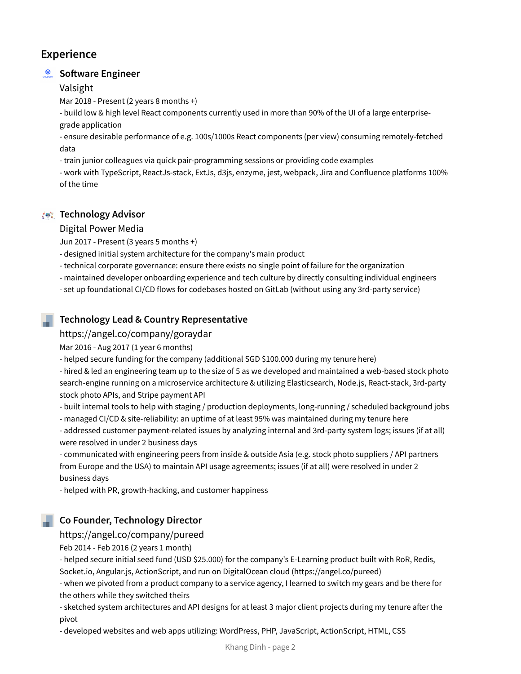# **Experience**

## **Soware Engineer**

Valsight

Mar 2018 - Present (2 years 8 months +)

- build low & high level React components currently used in more than 90% of the UI of a large enterprisegrade application

- ensure desirable performance of e.g. 100s/1000s React components (per view) consuming remotely-fetched data

- train junior colleagues via quick pair-programming sessions or providing code examples

- work with TypeScript, ReactJs-stack, ExtJs, d3js, enzyme, jest, webpack, Jira and Confluence platforms 100% of the time

## **Technology Advisor**

#### Digital Power Media

Jun 2017 - Present (3 years 5 months +)

- designed initial system architecture for the company's main product
- technical corporate governance: ensure there exists no single point of failure for the organization
- maintained developer onboarding experience and tech culture by directly consulting individual engineers
- set up foundational CI/CD flows for codebases hosted on GitLab (without using any 3rd-party service)

## **Technology Lead & Country Representative**

https://angel.co/company/goraydar

Mar 2016 - Aug 2017 (1 year 6 months)

- helped secure funding for the company (additional SGD \$100.000 during my tenure here)

- hired & led an engineering team up to the size of 5 as we developed and maintained a web-based stock photo search-engine running on a microservice architecture & utilizing Elasticsearch, Node.js, React-stack, 3rd-party stock photo APIs, and Stripe payment API

- built internal tools to help with staging / production deployments, long-running / scheduled background jobs

- managed CI/CD & site-reliability: an uptime of at least 95% was maintained during my tenure here

- addressed customer payment-related issues by analyzing internal and 3rd-party system logs; issues (if at all) were resolved in under 2 business days

- communicated with engineering peers from inside & outside Asia (e.g. stock photo suppliers / API partners from Europe and the USA) to maintain API usage agreements; issues (if at all) were resolved in under 2 business days

- helped with PR, growth-hacking, and customer happiness

## **Co Founder, Technology Director**

## https://angel.co/company/pureed

Feb 2014 - Feb 2016 (2 years 1 month)

- helped secure initial seed fund (USD \$25.000) for the company's E-Learning product built with RoR, Redis, Socket.io, Angular.js, ActionScript, and run on DigitalOcean cloud (https://angel.co/pureed)

- when we pivoted from a product company to a service agency, I learned to switch my gears and be there for the others while they switched theirs

- sketched system architectures and API designs for at least 3 major client projects during my tenure after the pivot

- developed websites and web apps utilizing: WordPress, PHP, JavaScript, ActionScript, HTML, CSS